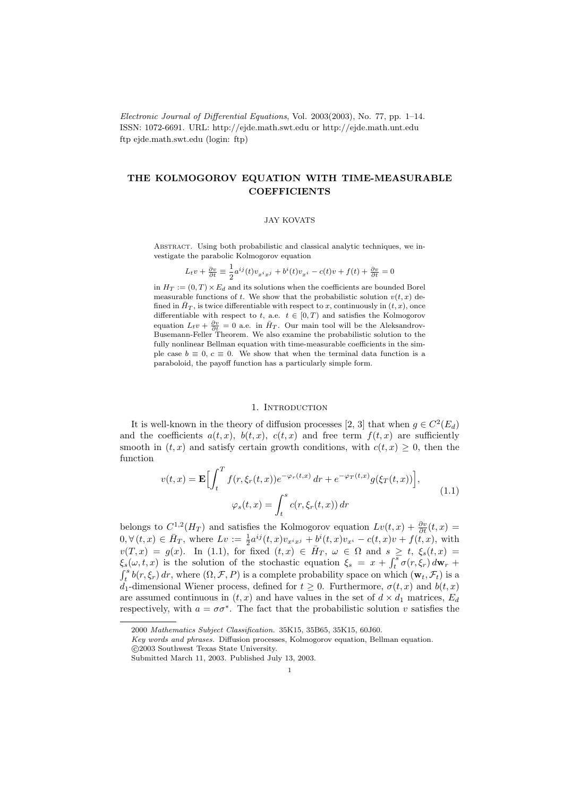Electronic Journal of Differential Equations, Vol. 2003(2003), No. 77, pp. 1–14. ISSN: 1072-6691. URL: http://ejde.math.swt.edu or http://ejde.math.unt.edu ftp ejde.math.swt.edu (login: ftp)

# THE KOLMOGOROV EQUATION WITH TIME-MEASURABLE **COEFFICIENTS**

### JAY KOVATS

Abstract. Using both probabilistic and classical analytic techniques, we investigate the parabolic Kolmogorov equation

$$
L_t v + \frac{\partial v}{\partial t} \equiv \frac{1}{2} a^{ij}(t) v_{x^i x^j} + b^i(t) v_{x^i} - c(t)v + f(t) + \frac{\partial v}{\partial t} = 0
$$

in  $H_T := (0, T) \times E_d$  and its solutions when the coefficients are bounded Borel measurable functions of t. We show that the probabilistic solution  $v(t, x)$  defined in  $\bar{H}_T$ , is twice differentiable with respect to x, continuously in  $(t, x)$ , once differentiable with respect to t, a.e.  $t \in [0, T)$  and satisfies the Kolmogorov equation  $L_t v + \frac{\partial v}{\partial t} = 0$  a.e. in  $\bar{H}_T$ . Our main tool will be the Aleksandrov-Busemann-Feller Theorem. We also examine the probabilistic solution to the fully nonlinear Bellman equation with time-measurable coefficients in the simple case  $b \equiv 0, c \equiv 0$ . We show that when the terminal data function is a paraboloid, the payoff function has a particularly simple form.

### 1. INTRODUCTION

It is well-known in the theory of diffusion processes [2, 3] that when  $g \in C^2(E_d)$ and the coefficients  $a(t, x)$ ,  $b(t, x)$ ,  $c(t, x)$  and free term  $f(t, x)$  are sufficiently smooth in  $(t, x)$  and satisfy certain growth conditions, with  $c(t, x) \geq 0$ , then the function

$$
v(t,x) = \mathbf{E}\Big[\int_t^T f(r,\xi_r(t,x))e^{-\varphi_r(t,x)} dr + e^{-\varphi_T(t,x)}g(\xi_T(t,x))\Big],
$$
  

$$
\varphi_s(t,x) = \int_t^s c(r,\xi_r(t,x)) dr
$$
 (1.1)

belongs to  $C^{1,2}(H_T)$  and satisfies the Kolmogorov equation  $Lv(t,x) + \frac{\partial v}{\partial t}(t,x) =$  $0, \forall (t, x) \in \bar{H}_T$ , where  $Lv := \frac{1}{2} a^{ij}(t, x)v_{x^ix^j} + \frac{b^i(t, x)v_{x^i} - c(t, x)v + f(t, x)}{h}$ , with  $v(T,x) = g(x)$ . In (1.1), for fixed  $(t,x) \in \overline{H}_T$ ,  $\omega \in \Omega$  and  $s \geq t$ ,  $\xi_s(t,x) =$  $\xi_s(\omega, t, x)$  is the solution of the stochastic equation  $\xi_s = x + \int_t^s \sigma(r, \xi_r) d\mathbf{w}_r +$  $\int_t^s b(r,\xi_r) dr$ , where  $(\Omega, \mathcal{F}, P)$  is a complete probability space on which  $(\mathbf{w}_t, \mathcal{F}_t)$  is a d<sub>1</sub>-dimensional Wiener process, defined for  $t \geq 0$ . Furthermore,  $\sigma(t, x)$  and  $b(t, x)$ are assumed continuous in  $(t, x)$  and have values in the set of  $d \times d_1$  matrices,  $E_d$ respectively, with  $a = \sigma \sigma^*$ . The fact that the probabilistic solution v satisfies the

<sup>2000</sup> Mathematics Subject Classification. 35K15, 35B65, 35K15, 60J60.

Key words and phrases. Diffusion processes, Kolmogorov equation, Bellman equation.

c 2003 Southwest Texas State University.

Submitted March 11, 2003. Published July 13, 2003.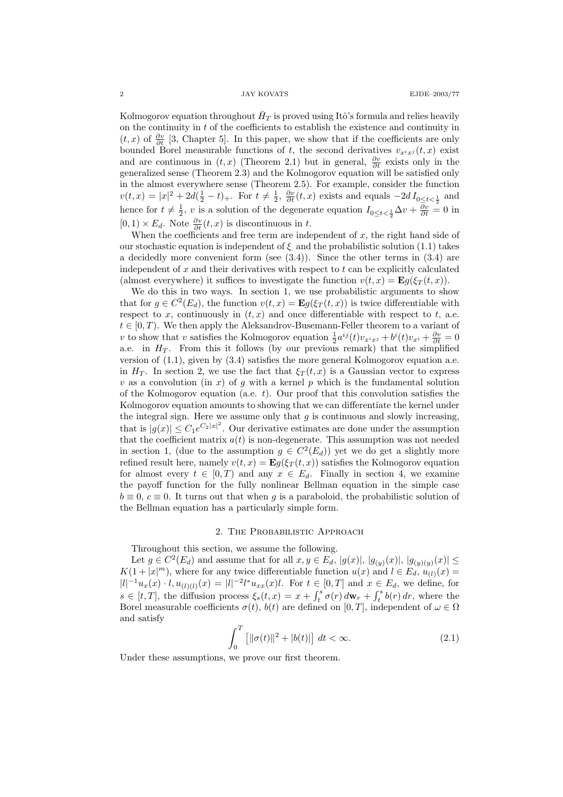Kolmogorov equation throughout  $\bar{H}_T$  is proved using Itô's formula and relies heavily on the continuity in  $t$  of the coefficients to establish the existence and continuity in  $(t, x)$  of  $\frac{\partial v}{\partial t}$  [3, Chapter 5]. In this paper, we show that if the coefficients are only bounded Borel measurable functions of t, the second derivatives  $v_{x^i x^j}(t, x)$  exist and are continuous in  $(t, x)$  (Theorem 2.1) but in general,  $\frac{\partial v}{\partial t}$  exists only in the generalized sense (Theorem 2.3) and the Kolmogorov equation will be satisfied only in the almost everywhere sense (Theorem 2.5). For example, consider the function  $v(t,x) = |x|^2 + 2d(\frac{1}{2} - t)_+$ . For  $t \neq \frac{1}{2}$ ,  $\frac{\partial v}{\partial t}(t,x)$  exists and equals  $-2d I_{0 \leq t \leq \frac{1}{2}}$  and hence for  $t \neq \frac{1}{2}$ , v is a solution of the degenerate equation  $I_{0 \leq t \leq \frac{1}{2}} \Delta v + \frac{\partial v}{\partial t} = 0$  in  $[0, 1) \times E_d$ . Note  $\frac{\partial v}{\partial t}(t, x)$  is discontinuous in t.

When the coefficients and free term are independent of  $x$ , the right hand side of our stochastic equation is independent of  $\xi$  and the probabilistic solution (1.1) takes a decidedly more convenient form (see  $(3.4)$ ). Since the other terms in  $(3.4)$  are independent of  $x$  and their derivatives with respect to  $t$  can be explicitly calculated (almost everywhere) it suffices to investigate the function  $v(t, x) = \mathbf{E}g(\xi_T(t, x)).$ 

We do this in two ways. In section 1, we use probabilistic arguments to show that for  $g \in C^2(E_d)$ , the function  $v(t,x) = \mathbf{E}g(\xi_T(t,x))$  is twice differentiable with respect to x, continuously in  $(t, x)$  and once differentiable with respect to t, a.e.  $t \in [0, T)$ . We then apply the Aleksandrov-Busemann-Feller theorem to a variant of v to show that v satisfies the Kolmogorov equation  $\frac{1}{2}a^{ij}(t)v_{x^ix^j} + b^i(t)v_{x^i} + \frac{\partial v}{\partial t} = 0$ a.e. in  $H_T$ . From this it follows (by our previous remark) that the simplified version of (1.1), given by (3.4) satisfies the more general Kolmogorov equation a.e. in  $H_T$ . In section 2, we use the fact that  $\xi_T(t,x)$  is a Gaussian vector to express v as a convolution (in x) of g with a kernel p which is the fundamental solution of the Kolmogorov equation (a.e.  $t$ ). Our proof that this convolution satisfies the Kolmogorov equation amounts to showing that we can differentiate the kernel under the integral sign. Here we assume only that  $g$  is continuous and slowly increasing, that is  $|g(x)| \leq C_1 e^{C_2 |x|^2}$ . Our derivative estimates are done under the assumption that the coefficient matrix  $a(t)$  is non-degenerate. This assumption was not needed in section 1, (due to the assumption  $g \in C^2(E_d)$ ) yet we do get a slightly more refined result here, namely  $v(t, x) = \mathbf{E}g(\xi_T(t, x))$  satisfies the Kolmogorov equation for almost every  $t \in [0, T)$  and any  $x \in E_d$ . Finally in section 4, we examine the payoff function for the fully nonlinear Bellman equation in the simple case  $b \equiv 0, c \equiv 0$ . It turns out that when q is a paraboloid, the probabilistic solution of the Bellman equation has a particularly simple form.

## 2. The Probabilistic Approach

Throughout this section, we assume the following.

Let  $g \in C^2(E_d)$  and assume that for all  $x, y \in E_d$ ,  $|g(x)|$ ,  $|g_{(y)}(x)|$ ,  $|g_{(y)(y)}(x)| \le$  $K(1+|x|^m)$ , where for any twice differentiable function  $u(x)$  and  $l \in E_d$ ,  $u_{(l)}(x)$  $|l|^{-1}u_x(x) \cdot l, u_{(l)(l)}(x) = |l|^{-2}l^*u_{xx}(x)l.$  For  $t \in [0, T]$  and  $x \in E_d$ , we define, for  $s \in [t, T]$ , the diffusion process  $\xi_s(t, x) = x + \int_t^s \sigma(r) d\mathbf{w}_r + \int_t^s b(r) dr$ , where the Borel measurable coefficients  $\sigma(t)$ ,  $b(t)$  are defined on [0, T], independent of  $\omega \in \Omega$ and satisfy

$$
\int_0^T \left[ ||\sigma(t)||^2 + |b(t)| \right] dt < \infty.
$$
 (2.1)

Under these assumptions, we prove our first theorem.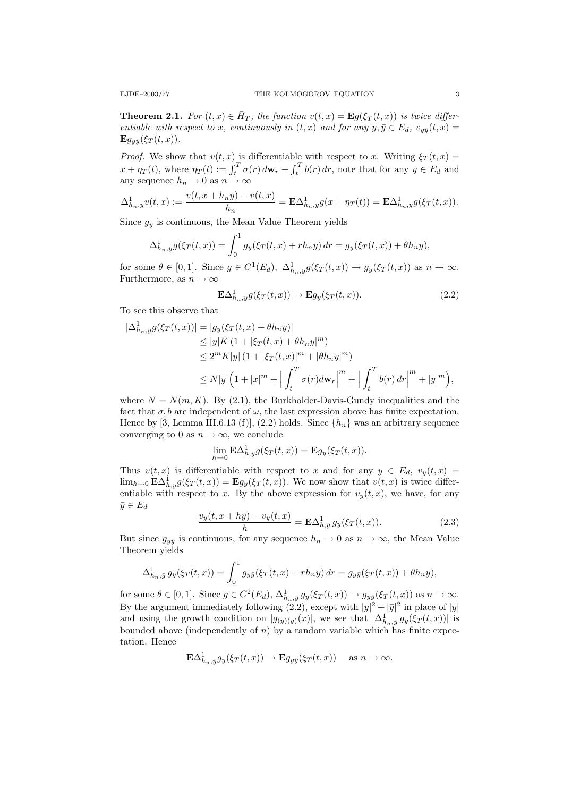**Theorem 2.1.** For  $(t, x) \in \overline{H}_T$ , the function  $v(t, x) = \mathbf{E}g(\xi_T(t, x))$  is twice differentiable with respect to x, continuously in  $(t, x)$  and for any  $y, \bar{y} \in E_d$ ,  $v_{y\bar{y}}(t, x) =$  ${\bf E}g_{\nu\bar{\nu}}(\xi_T(t,x)).$ 

*Proof.* We show that  $v(t, x)$  is differentiable with respect to x. Writing  $\xi_T(t, x) =$  $x + \eta_T(t)$ , where  $\eta_T(t) := \int_t^T \sigma(r) d\mathbf{w}_r + \int_t^T b(r) dr$ , note that for any  $y \in E_d$  and any sequence  $h_n \to 0$  as  $n \to \infty$ 

$$
\Delta_{h_n,y}^1 v(t,x) := \frac{v(t,x + h_n y) - v(t,x)}{h_n} = \mathbf{E} \Delta_{h_n,y}^1 g(x + \eta_T(t)) = \mathbf{E} \Delta_{h_n,y}^1 g(\xi_T(t,x)).
$$

Since  $g_y$  is continuous, the Mean Value Theorem yields

$$
\Delta_{h_n,y}^1 g(\xi_T(t,x)) = \int_0^1 g_y(\xi_T(t,x) + rh_n y) dr = g_y(\xi_T(t,x)) + \theta h_n y),
$$

for some  $\theta \in [0,1]$ . Since  $g \in C^1(E_d)$ ,  $\Delta^1_{h_n,y} g(\xi_T(t,x)) \to g_y(\xi_T(t,x))$  as  $n \to \infty$ . Furthermore, as  $n \to \infty$ 

$$
\mathbf{E}\Delta_{h_n,y}^1 g(\xi_T(t,x)) \to \mathbf{E}g_y(\xi_T(t,x)).\tag{2.2}
$$

To see this observe that

$$
\begin{split} |\Delta_{h_n,y}^1 g(\xi_T(t,x))| &= |g_y(\xi_T(t,x) + \theta h_n y)| \\ &\le |y| K (1 + |\xi_T(t,x) + \theta h_n y|^m) \\ &\le 2^m K |y| (1 + |\xi_T(t,x)|^m + |\theta h_n y|^m) \\ &\le N |y| \Big( 1 + |x|^m + \Big| \int_t^T \sigma(r) d\mathbf{w}_r \Big|^m + \Big| \int_t^T b(r) \, dr \Big|^m + |y|^m \Big), \end{split}
$$

where  $N = N(m, K)$ . By (2.1), the Burkholder-Davis-Gundy inequalities and the fact that  $\sigma, b$  are independent of  $\omega$ , the last expression above has finite expectation. Hence by [3, Lemma III.6.13 (f)], (2.2) holds. Since  $\{h_n\}$  was an arbitrary sequence converging to 0 as  $n \to \infty$ , we conclude

$$
\lim_{h \to 0} \mathbf{E}\Delta^1_{h,y}g(\xi_T(t,x)) = \mathbf{E}g_y(\xi_T(t,x)).
$$

Thus  $v(t, x)$  is differentiable with respect to x and for any  $y \in E_d$ ,  $v_y(t, x) =$  $\lim_{h\to 0} \mathbf{E}\Delta_{h,y}^1 g(\xi_T(t,x)) = \mathbf{E}g_y(\xi_T(t,x))$ . We now show that  $v(t,x)$  is twice differentiable with respect to x. By the above expression for  $v_y(t, x)$ , we have, for any  $\bar{y} \in E_d$ 

$$
\frac{v_y(t, x + h\bar{y}) - v_y(t, x)}{h} = \mathbf{E}\Delta_{h, \bar{y}}^1 g_y(\xi_T(t, x)).
$$
\n(2.3)

But since  $g_{y\bar{y}}$  is continuous, for any sequence  $h_n \to 0$  as  $n \to \infty$ , the Mean Value Theorem yields

$$
\Delta_{h_n,\bar{y}}^1 g_y(\xi_T(t,x)) = \int_0^1 g_{y\bar{y}}(\xi_T(t,x) + rh_n y) dr = g_{y\bar{y}}(\xi_T(t,x)) + \theta h_n y),
$$

for some  $\theta \in [0,1]$ . Since  $g \in C^2(E_d)$ ,  $\Delta^1_{h_n, \bar{y}} g_y(\xi_T(t,x)) \to g_{y\bar{y}}(\xi_T(t,x))$  as  $n \to \infty$ . By the argument immediately following (2.2), except with  $|y|^2 + |\bar{y}|^2$  in place of  $|y|$ and using the growth condition on  $|g_{(y)(y)}(x)|$ , we see that  $|\Delta^1_{h_n,\bar{y}} g_y(\xi_T(t,x))|$  is bounded above (independently of  $n$ ) by a random variable which has finite expectation. Hence

$$
\mathbf{E}\Delta^1_{h_n,\bar{y}}g_y(\xi_T(t,x))\to \mathbf{E}g_{y\bar{y}}(\xi_T(t,x))\quad\text{ as }n\to\infty.
$$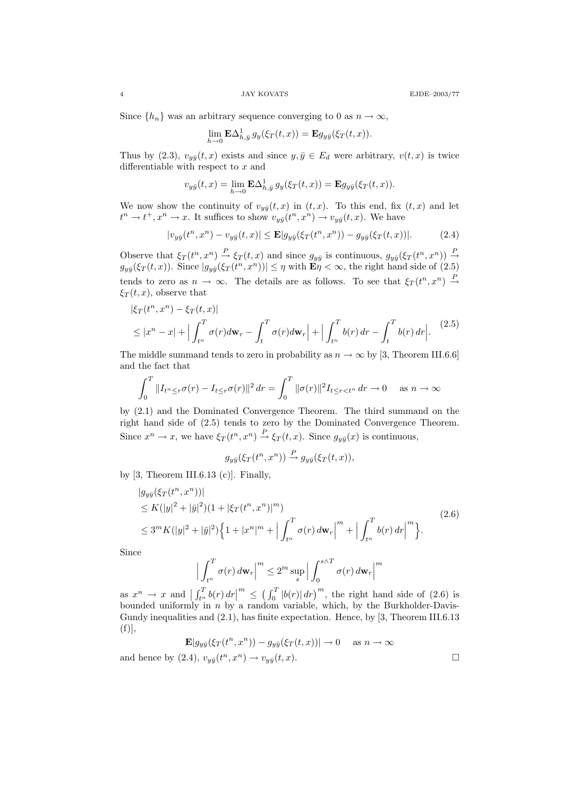Since  $\{h_n\}$  was an arbitrary sequence converging to 0 as  $n \to \infty$ ,

$$
\lim_{h \to 0} \mathbf{E} \Delta_{h,\bar{y}}^1 g_y(\xi_T(t,x)) = \mathbf{E} g_{y\bar{y}}(\xi_T(t,x)).
$$

Thus by (2.3),  $v_{y\bar{y}}(t, x)$  exists and since  $y, \bar{y} \in E_d$  were arbitrary,  $v(t, x)$  is twice differentiable with respect to  $x$  and

$$
v_{y\bar{y}}(t,x)=\lim_{h\to 0}\mathbf{E}\Delta_{h,\bar{y}}^1 g_y(\xi_T(t,x))=\mathbf{E}g_{y\bar{y}}(\xi_T(t,x)).
$$

We now show the continuity of  $v_{y\bar{y}}(t, x)$  in  $(t, x)$ . To this end, fix  $(t, x)$  and let  $t^n \to t^+, x^n \to x$ . It suffices to show  $v_{y\bar{y}}(t^n, x^n) \to v_{y\bar{y}}(t, x)$ . We have

$$
|v_{y\bar{y}}(t^n, x^n) - v_{y\bar{y}}(t, x)| \le \mathbf{E} |g_{y\bar{y}}(\xi_T(t^n, x^n)) - g_{y\bar{y}}(\xi_T(t, x))|.
$$
 (2.4)

Observe that  $\xi_T(t^n, x^n) \stackrel{P}{\to} \xi_T(t, x)$  and since  $g_{y\bar{y}}$  is continuous,  $g_{y\bar{y}}(\xi_T(t^n, x^n)) \stackrel{P}{\to}$  $g_{y\bar{y}}(\xi_T(t,x))$ . Since  $|g_{y\bar{y}}(\xi_T(t^n,x^n))| \leq \eta$  with  $\mathbf{E}\eta < \infty$ , the right hand side of  $(2.5)$ tends to zero as  $n \to \infty$ . The details are as follows. To see that  $\xi_T(t^n, x^n) \stackrel{P}{\to}$  $\xi_T(t,x)$ , observe that

$$
|\xi_T(t^n, x^n) - \xi_T(t, x)|
$$
  
\n
$$
\leq |x^n - x| + \Big| \int_{t^n}^T \sigma(r) d\mathbf{w}_r - \int_t^T \sigma(r) d\mathbf{w}_r \Big| + \Big| \int_{t^n}^T b(r) dr - \int_t^T b(r) dr \Big|. \tag{2.5}
$$

The middle summand tends to zero in probability as  $n \to \infty$  by [3, Theorem III.6.6] and the fact that

$$
\int_0^T \|I_{t^n \le r} \sigma(r) - I_{t \le r} \sigma(r)\|^2 \, dr = \int_0^T \|\sigma(r)\|^2 I_{t \le r < t^n} \, dr \to 0 \quad \text{as } n \to \infty
$$

by (2.1) and the Dominated Convergence Theorem. The third summand on the right hand side of (2.5) tends to zero by the Dominated Convergence Theorem. Since  $x^n \to x$ , we have  $\xi_T(t^n, x^n) \stackrel{P}{\to} \xi_T(t, x)$ . Since  $g_{y\bar{y}}(x)$  is continuous,

$$
g_{y\bar{y}}(\xi_T(t^n, x^n)) \stackrel{P}{\rightarrow} g_{y\bar{y}}(\xi_T(t, x)),
$$

by  $[3,$  Theorem III.6.13 (c)]. Finally,

$$
|g_{y\bar{y}}(\xi_T(t^n, x^n))|
$$
  
\n
$$
\leq K(|y|^2 + |\bar{y}|^2)(1 + |\xi_T(t^n, x^n)|^m)
$$
  
\n
$$
\leq 3^m K(|y|^2 + |\bar{y}|^2)\Big\{1 + |x^n|^m + \Big|\int_{t^n}^T \sigma(r) d\mathbf{w}_r\Big|^m + \Big|\int_{t^n}^T b(r) dr\Big|^m\Big\}.
$$
\n(2.6)

Since

$$
\left| \int_{t^n}^T \sigma(r) \, d\mathbf{w}_r \right|^m \le 2^m \sup_s \left| \int_0^{s \wedge T} \sigma(r) \, d\mathbf{w}_r \right|^m
$$

as  $x^n \to x$  and  $\left| \int_{t^n}^T b(r) dr \right|^m \leq \left( \int_0^T |b(r)| dr \right)^m$ , the right hand side of (2.6) is bounded uniformly in  $n$  by a random variable, which, by the Burkholder-Davis-Gundy inequalities and (2.1), has finite expectation. Hence, by [3, Theorem III.6.13  $(f)|,$ 

$$
\mathbf{E}[g_{y\bar{y}}(\xi_T(t^n, x^n)) - g_{y\bar{y}}(\xi_T(t, x))] \to 0 \quad \text{as } n \to \infty
$$

and hence by (2.4),  $v_{y\bar{y}}(t^n, x^n) \rightarrow v_{y\bar{y}}(t, x)$ .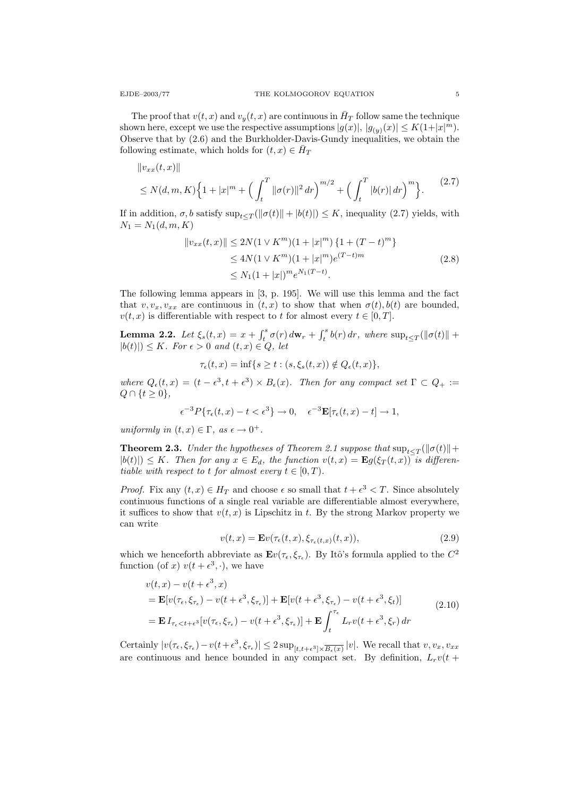The proof that  $v(t, x)$  and  $v_y(t, x)$  are continuous in  $\bar{H}_T$  follow same the technique shown here, except we use the respective assumptions  $|g(x)|, |g_{(y)}(x)| \le K(1+|x|^m)$ . Observe that by (2.6) and the Burkholder-Davis-Gundy inequalities, we obtain the following estimate, which holds for  $(t, x) \in \overline{H}_T$ 

$$
||v_{xx}(t,x)||
$$
  
\n
$$
\leq N(d,m,K)\Big\{1+|x|^m+\Big(\int_t^T\|\sigma(r)\|^2\,dr\Big)^{m/2}+\Big(\int_t^T|b(r)|\,dr\Big)^m\Big\}.
$$
\n(2.7)

If in addition,  $\sigma$ , b satisfy  $\sup_{t \leq T} (\|\sigma(t)\| + |b(t)|) \leq K$ , inequality (2.7) yields, with  $N_1 = N_1(d, m, K)$ 

$$
||v_{xx}(t,x)|| \le 2N(1 \vee K^m)(1+|x|^m) \{1+(T-t)^m\}
$$
  
\n
$$
\le 4N(1 \vee K^m)(1+|x|^m)e^{(T-t)m}
$$
  
\n
$$
\le N_1(1+|x|)^m e^{N_1(T-t)}.
$$
\n(2.8)

The following lemma appears in [3, p. 195]. We will use this lemma and the fact that  $v, v_x, v_{xx}$  are continuous in  $(t, x)$  to show that when  $\sigma(t)$ ,  $b(t)$  are bounded,  $v(t, x)$  is differentiable with respect to t for almost every  $t \in [0, T]$ .

**Lemma 2.2.** Let  $\xi_s(t,x) = x + \int_t^s \sigma(r) d\mathbf{w}_r + \int_t^s b(r) dr$ , where  $\sup_{t \leq T} (\|\sigma(t)\| +$  $|b(t)| \leq K$ . For  $\epsilon > 0$  and  $(t, x) \in Q$ , let

$$
\tau_{\epsilon}(t,x) = \inf\{s \ge t : (s,\xi_s(t,x)) \notin Q_{\epsilon}(t,x)\},\
$$

where  $Q_{\epsilon}(t,x) = (t - \epsilon^3, t + \epsilon^3) \times B_{\epsilon}(x)$ . Then for any compact set  $\Gamma \subset Q_+ :=$  $Q \cap \{t \geq 0\},\$ 

$$
\epsilon^{-3} P\{\tau_{\epsilon}(t,x) - t < \epsilon^3\} \to 0, \quad \epsilon^{-3} \mathbf{E}[\tau_{\epsilon}(t,x) - t] \to 1,
$$

uniformly in  $(t, x) \in \Gamma$ , as  $\epsilon \to 0^+$ .

**Theorem 2.3.** Under the hypotheses of Theorem 2.1 suppose that  $\sup_{t\leq T}(\|\sigma(t)\|+\|T_t\|)$  $|b(t)| \leq K$ . Then for any  $x \in E_d$ , the function  $v(t, x) = \mathbf{E}g(\xi_T(t, x))$  is differentiable with respect to t for almost every  $t \in [0, T)$ .

*Proof.* Fix any  $(t, x) \in H_T$  and choose  $\epsilon$  so small that  $t + \epsilon^3 < T$ . Since absolutely continuous functions of a single real variable are differentiable almost everywhere, it suffices to show that  $v(t, x)$  is Lipschitz in t. By the strong Markov property we can write

$$
v(t,x) = \mathbf{E}v(\tau_{\epsilon}(t,x), \xi_{\tau_{\epsilon}(t,x)}(t,x)),
$$
\n(2.9)

which we henceforth abbreviate as  $\mathbf{E}v(\tau_{\epsilon}, \xi_{\tau_{\epsilon}})$ . By Itô's formula applied to the  $C^2$ function (of x)  $v(t+\epsilon^3, \cdot)$ , we have

$$
v(t, x) - v(t + \epsilon^3, x)
$$
  
=  $\mathbf{E}[v(\tau_{\epsilon}, \xi_{\tau_{\epsilon}}) - v(t + \epsilon^3, \xi_{\tau_{\epsilon}})] + \mathbf{E}[v(t + \epsilon^3, \xi_{\tau_{\epsilon}}) - v(t + \epsilon^3, \xi_t)]$   
=  $\mathbf{E} I_{\tau_{\epsilon} < t + \epsilon^3}[v(\tau_{\epsilon}, \xi_{\tau_{\epsilon}}) - v(t + \epsilon^3, \xi_{\tau_{\epsilon}})] + \mathbf{E} \int_{t}^{\tau_{\epsilon}} L_r v(t + \epsilon^3, \xi_r) dr$  (2.10)

Certainly  $|v(\tau_{\epsilon}, \xi_{\tau_{\epsilon}}) - v(t + \epsilon^3, \xi_{\tau_{\epsilon}})| \leq 2 \sup_{[t, t + \epsilon^3] \times \overline{B_{\epsilon}(x)}} |v|$ . We recall that  $v, v_x, v_{xx}$ are continuous and hence bounded in any compact set. By definition,  $L_r v(t +$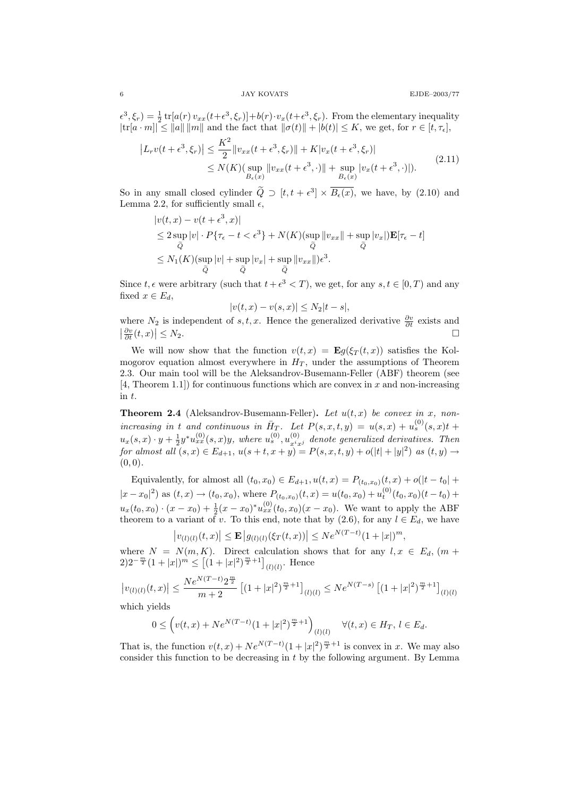$\epsilon^3, \xi_r$  =  $\frac{1}{2}$  tr[ $a(r)$   $v_{xx}(t+\epsilon^3, \xi_r)$ ]+b(r)· $v_x(t+\epsilon^3, \xi_r)$ . From the elementary inequality  $|\text{tr}[a \cdot m]| \leq ||a|| \, ||m||$  and the fact that  $||\sigma(t)|| + |b(t)| \leq K$ , we get, for  $r \in [t, \tau_{\epsilon}],$ 

$$
\left| L_r v(t + \epsilon^3, \xi_r) \right| \le \frac{K^2}{2} \|v_{xx}(t + \epsilon^3, \xi_r)\| + K |v_x(t + \epsilon^3, \xi_r)|
$$
  
 
$$
\le N(K) (\sup_{B_{\epsilon}(x)} \|v_{xx}(t + \epsilon^3, \cdot)\| + \sup_{B_{\epsilon}(x)} |v_x(t + \epsilon^3, \cdot)|). \tag{2.11}
$$

So in any small closed cylinder  $\tilde{Q} \supset [t, t + \epsilon^3] \times \overline{B_{\epsilon}(x)}$ , we have, by (2.10) and Lemma 2.2, for sufficiently small  $\epsilon$ ,

$$
|v(t, x) - v(t + \epsilon^3, x)|
$$
  
\n
$$
\leq 2 \sup_{\tilde{Q}} |v| \cdot P\{\tau_{\epsilon} - t < \epsilon^3\} + N(K)(\sup_{\tilde{Q}} \|v_{xx}\| + \sup_{\tilde{Q}} |v_x|) \mathbf{E}[\tau_{\epsilon} - t]
$$
  
\n
$$
\leq N_1(K)(\sup_{\tilde{Q}} |v| + \sup_{\tilde{Q}} |v_x| + \sup_{\tilde{Q}} \|v_{xx}\|) \epsilon^3.
$$

Since  $t, \epsilon$  were arbitrary (such that  $t + \epsilon^3 < T$ ), we get, for any  $s, t \in [0, T)$  and any fixed  $x \in E_d$ ,

$$
|v(t,x) - v(s,x)| \leq N_2|t-s|,
$$

where  $N_2$  is independent of s, t, x. Hence the generalized derivative  $\frac{\partial v}{\partial t}$  exists and  $\left|\frac{\partial v}{\partial t}(t,x)\right|$  $\vert \leq N_2.$ 

We will now show that the function  $v(t, x) = \mathbf{E}g(\xi_T(t, x))$  satisfies the Kolmogorov equation almost everywhere in  $H_T$ , under the assumptions of Theorem 2.3. Our main tool will be the Aleksandrov-Busemann-Feller (ABF) theorem (see  $[4,$  Theorem 1.1) for continuous functions which are convex in x and non-increasing in t.

**Theorem 2.4** (Aleksandrov-Busemann-Feller). Let  $u(t, x)$  be convex in x, nonincreasing in t and continuous in  $\bar{H}_T$ . Let  $P(s, x, t, y) = u(s, x) + u_s^{(0)}(s, x)t +$  $u_x(s,x)\cdot y+\frac{1}{2}y^*u_{xx}^{(0)}(s,x)y$ , where  $u_s^{(0)}, u_{x^ix^j}^{(0)}$  denote generalized derivatives. Then for almost all  $(s, x) \in E_{d+1}$ ,  $u(s+t, x+y) = P(s, x, t, y) + o(|t|+|y|^2)$  as  $(t, y) \to$  $(0, 0).$ 

Equivalently, for almost all  $(t_0, x_0) \in E_{d+1}$ ,  $u(t, x) = P_{(t_0, x_0)}(t, x) + o(|t - t_0| +$  $|x-x_0|^2$  as  $(t, x) \to (t_0, x_0)$ , where  $P_{(t_0, x_0)}(t, x) = u(t_0, x_0) + u_t^{(0)}(t_0, x_0)(t - t_0) +$  $u_x(t_0, x_0) \cdot (x - x_0) + \frac{1}{2}(x - x_0)^* u_{xx}^{(0)}(t_0, x_0)(x - x_0)$ . We want to apply the ABF theorem to a variant of v. To this end, note that by  $(2.6)$ , for any  $l \in E_d$ , we have

$$
|v_{(l)(l)}(t,x)| \le \mathbf{E} |g_{(l)(l)}(\xi_T(t,x))| \le N e^{N(T-t)} (1+|x|)^m,
$$

where  $N = N(m, K)$ . Direct calculation shows that for any  $l, x \in E_d$ ,  $(m +$  $2)2^{-\frac{m}{2}}(1+|x|)^{m} \leq \left[ (1+|x|^{2})^{\frac{m}{2}+1} \right]_{(l)(l)}$ . Hence

$$
\left|v_{(l)(l)}(t,x)\right| \le \frac{Ne^{N(T-t)}2^{\frac{m}{2}}}{m+2} \left[ (1+|x|^2)^{\frac{m}{2}+1} \right]_{(l)(l)} \le Ne^{N(T-s)} \left[ (1+|x|^2)^{\frac{m}{2}+1} \right]_{(l)(l)}
$$

which yields

$$
0 \le \left(v(t,x) + Ne^{N(T-t)}(1+|x|^2)^{\frac{m}{2}+1}\right)_{(l)(l)} \quad \forall (t,x) \in H_T, \ l \in E_d.
$$

That is, the function  $v(t, x) + Ne^{N(T-t)}(1+|x|^2)^{\frac{m}{2}+1}$  is convex in x. We may also consider this function to be decreasing in  $t$  by the following argument. By Lemma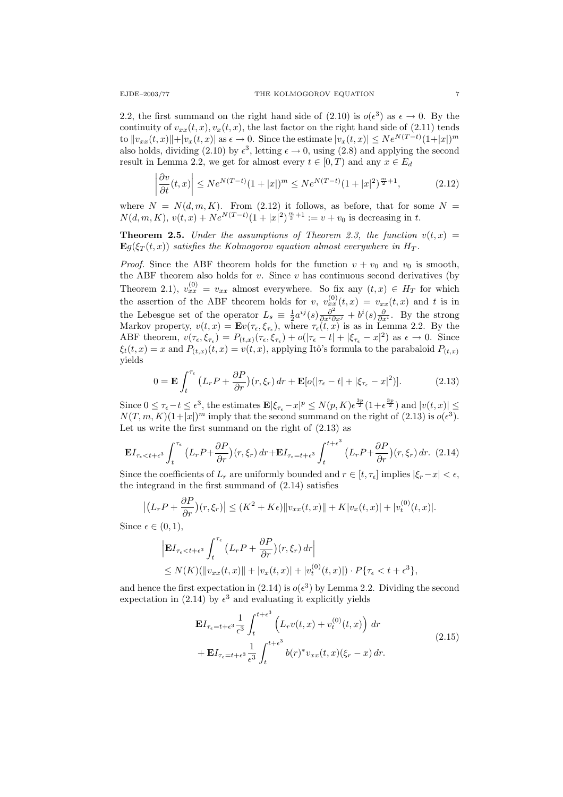2.2, the first summand on the right hand side of  $(2.10)$  is  $o(\epsilon^3)$  as  $\epsilon \to 0$ . By the continuity of  $v_{xx}(t, x), v_x(t, x)$ , the last factor on the right hand side of (2.11) tends to  $||v_{xx}(t, x)|| + |v_x(t, x)||$  as  $\epsilon \to 0$ . Since the estimate  $|v_x(t, x)| \leq N e^{N(T-t)} (1+|x|)^m$ also holds, dividing (2.10) by  $\epsilon^3$ , letting  $\epsilon \to 0$ , using (2.8) and applying the second result in Lemma 2.2, we get for almost every  $t \in [0, T)$  and any  $x \in E_d$ 

$$
\left| \frac{\partial v}{\partial t}(t, x) \right| \le N e^{N(T-t)} (1+|x|)^m \le N e^{N(T-t)} (1+|x|^2)^{\frac{m}{2}+1}, \tag{2.12}
$$

where  $N = N(d, m, K)$ . From (2.12) it follows, as before, that for some  $N =$  $N(d, m, K), v(t, x) + N e^{N(T-t)} (1+|x|^2)^{\frac{m}{2}+1} := v + v_0$  is decreasing in t.

**Theorem 2.5.** Under the assumptions of Theorem 2.3, the function  $v(t, x) =$  $\mathbf{E}g(\xi_T(t,x))$  satisfies the Kolmogorov equation almost everywhere in  $H_T$ .

*Proof.* Since the ABF theorem holds for the function  $v + v_0$  and  $v_0$  is smooth, the ABF theorem also holds for  $v$ . Since  $v$  has continuous second derivatives (by Theorem 2.1),  $v_{xx}^{(0)} = v_{xx}$  almost everywhere. So fix any  $(t, x) \in H_T$  for which the assertion of the ABF theorem holds for  $v, v_{xx}^{(0)}(t,x) = v_{xx}(t,x)$  and t is in the Lebesgue set of the operator  $L_s \equiv \frac{1}{2} a^{ij}(s) \frac{\partial^2}{\partial x^i \partial x^j} + b^i(s) \frac{\partial}{\partial x^i}$ . By the strong Markov property,  $v(t, x) = \mathbf{E} v(\tau_{\epsilon}, \xi_{\tau_{\epsilon}})$ , where  $\tau_{\epsilon}(t, x)$  is as in Lemma 2.2. By the ABF theorem,  $v(\tau_{\epsilon}, \xi_{\tau_{\epsilon}}) = P_{(t,x)}(\tau_{\epsilon}, \xi_{\tau_{\epsilon}}) + o(|\tau_{\epsilon} - t| + |\xi_{\tau_{\epsilon}} - x|^2)$  as  $\epsilon \to 0$ . Since  $\xi_t(t,x) = x$  and  $P_{(t,x)}(t,x) = v(t,x)$ , applying Itô's formula to the parabaloid  $P_{(t,x)}$ yields

$$
0 = \mathbf{E} \int_{t}^{\tau_{\epsilon}} \left( L_r P + \frac{\partial P}{\partial r} \right) (r, \xi_r) \, dr + \mathbf{E} [o(|\tau_{\epsilon} - t| + |\xi_{\tau_{\epsilon}} - x|^2)]. \tag{2.13}
$$

Since  $0 \leq \tau_{\epsilon} - t \leq \epsilon^3$ , the estimates  $\mathbf{E} |\xi_{\tau_{\epsilon}} - x|^p \leq N(p, K) \epsilon^{\frac{3p}{2}} (1 + \epsilon^{\frac{3p}{2}})$  and  $|v(t,x)| \leq$  $N(T, m, K)(1+|x|)^m$  imply that the second summand on the right of (2.13) is  $o(\epsilon^3)$ . Let us write the first summand on the right of  $(2.13)$  as

$$
\mathbf{E}I_{\tau_{\epsilon} < t+\epsilon^{3}} \int_{t}^{\tau_{\epsilon}} \left( L_{r} P + \frac{\partial P}{\partial r} \right)(r, \xi_{r}) dr + \mathbf{E}I_{\tau_{\epsilon} = t+\epsilon^{3}} \int_{t}^{t+\epsilon^{3}} \left( L_{r} P + \frac{\partial P}{\partial r} \right)(r, \xi_{r}) dr. (2.14)
$$

Since the coefficients of  $L_r$  are uniformly bounded and  $r \in [t, \tau_{\epsilon}]$  implies  $|\xi_r - x| < \epsilon$ , the integrand in the first summand of (2.14) satisfies

$$
\left| \left( L_r P + \frac{\partial P}{\partial r} \right) (r, \xi_r) \right| \le (K^2 + K\epsilon) \| v_{xx}(t, x) \| + K |v_x(t, x)| + |v_t^{(0)}(t, x)|.
$$

Since  $\epsilon \in (0,1)$ ,

$$
\begin{aligned} & \left| \mathbf{E} I_{\tau_{\epsilon} < t + \epsilon^3} \int_t^{\tau_{\epsilon}} \left( L_r P + \frac{\partial P}{\partial r} \right) (r, \xi_r) \, dr \right| \\ & \le N(K) (\left\| v_{xx}(t, x) \right\| + \left| v_x(t, x) \right| + \left| v_t^{(0)}(t, x) \right|) \cdot P\{\tau_{\epsilon} < t + \epsilon^3\}, \end{aligned}
$$

and hence the first expectation in (2.14) is  $o(\epsilon^3)$  by Lemma 2.2. Dividing the second expectation in (2.14) by  $\epsilon^3$  and evaluating it explicitly yields

$$
\mathbf{E}I_{\tau_{\epsilon}=t+\epsilon^{3}}\frac{1}{\epsilon^{3}}\int_{t}^{t+\epsilon^{3}}\left(L_{r}v(t,x)+v_{t}^{(0)}(t,x)\right)dr
$$
\n
$$
+\mathbf{E}I_{\tau_{\epsilon}=t+\epsilon^{3}}\frac{1}{\epsilon^{3}}\int_{t}^{t+\epsilon^{3}}b(r)^{*}v_{xx}(t,x)(\xi_{r}-x)dr.
$$
\n(2.15)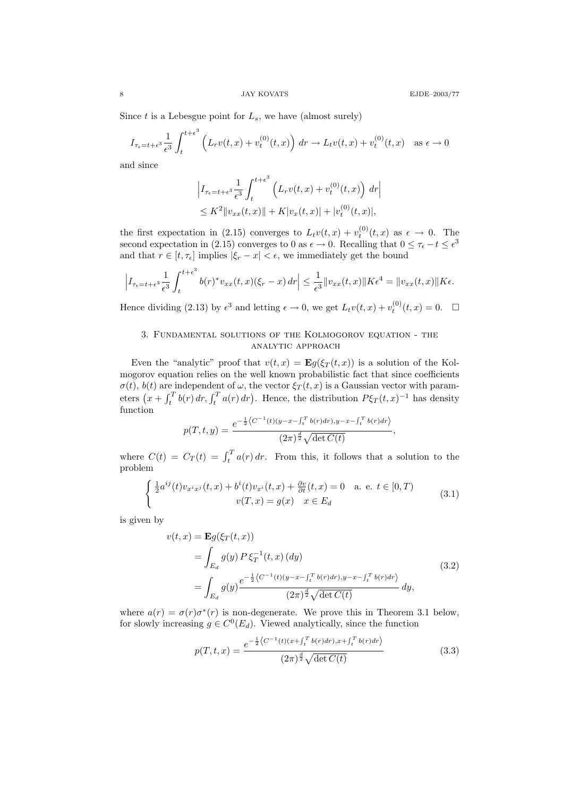Since  $t$  is a Lebesgue point for  $L_s$ , we have (almost surely)

$$
I_{\tau_{\epsilon}=t+\epsilon^{3}}\frac{1}{\epsilon^{3}}\int_{t}^{t+\epsilon^{3}} \left(L_{r}v(t,x)+v_{t}^{(0)}(t,x)\right) dr \to L_{t}v(t,x)+v_{t}^{(0)}(t,x) \quad \text{as } \epsilon \to 0
$$

and since

$$
\left| I_{\tau_{\epsilon}=t+\epsilon^{3}} \frac{1}{\epsilon^{3}} \int_{t}^{t+\epsilon^{3}} \left( L_{r} v(t,x) + v_{t}^{(0)}(t,x) \right) dr \right|
$$
  
 
$$
\leq K^{2} \| v_{xx}(t,x) \| + K |v_{x}(t,x)| + |v_{t}^{(0)}(t,x)|,
$$

the first expectation in (2.15) converges to  $L_t v(t,x) + v_t^{(0)}(t,x)$  as  $\epsilon \to 0$ . The second expectation in (2.15) converges to 0 as  $\epsilon \to 0$ . Recalling that  $0 \le \tau_{\epsilon} - t \le \epsilon^3$ and that  $r \in [t, \tau_{\epsilon}]$  implies  $|\xi_r - x| < \epsilon$ , we immediately get the bound

$$
\left|I_{\tau_{\epsilon}=t+\epsilon^{3}}\frac{1}{\epsilon^{3}}\int_{t}^{t+\epsilon^{3}}b(r)^{*}v_{xx}(t,x)(\xi_{r}-x)\,dr\right|\leq\frac{1}{\epsilon^{3}}\|v_{xx}(t,x)\|K\epsilon^{4}=\|v_{xx}(t,x)\|K\epsilon.
$$

Hence dividing (2.13) by  $\epsilon^3$  and letting  $\epsilon \to 0$ , we get  $L_t v(t, x) + v_t^{(0)}(t, x) = 0$ .  $\Box$ 

## 3. Fundamental solutions of the Kolmogorov equation - the analytic approach

Even the "analytic" proof that  $v(t, x) = \mathbf{E}g(\xi_T(t, x))$  is a solution of the Kolmogorov equation relies on the well known probabilistic fact that since coefficients  $\sigma(t)$ ,  $b(t)$  are independent of  $\omega$ , the vector  $\xi_T(t,x)$  is a Gaussian vector with parameters  $(x + \int_t^T b(r) dr, \int_t^T a(r) dr)$ . Hence, the distribution  $P\xi_T(t,x)^{-1}$  has density function

$$
p(T, t, y) = \frac{e^{-\frac{1}{2}\langle C^{-1}(t)(y-x-\int_t^T b(r)dr), y-x-\int_t^T b(r)dr\rangle}}{(2\pi)^{\frac{d}{2}\sqrt{\det C(t)}}},
$$

where  $C(t) = C_T(t) = \int_t^T a(r) dr$ . From this, it follows that a solution to the problem

$$
\begin{cases} \frac{1}{2}a^{ij}(t)v_{x^ix^j}(t,x) + b^i(t)v_{x^i}(t,x) + \frac{\partial v}{\partial t}(t,x) = 0 & \text{a. e. } t \in [0,T) \\ v(T,x) = g(x) & x \in E_d \end{cases}
$$
 (3.1)

is given by

$$
v(t,x) = \mathbf{E}g(\xi_T(t,x))
$$
  
=  $\int_{E_d} g(y) P \xi_T^{-1}(t,x) (dy)$   
=  $\int_{E_d} g(y) \frac{e^{-\frac{1}{2} \langle C^{-1}(t)(y-x-\int_t^T b(r) dr), y-x-\int_t^T b(r) dr \rangle}}{(2\pi)^{\frac{d}{2}} \sqrt{\det C(t)}} dy,$  (3.2)

where  $a(r) = \sigma(r)\sigma^*(r)$  is non-degenerate. We prove this in Theorem 3.1 below, for slowly increasing  $g \in C^0(E_d)$ . Viewed analytically, since the function

$$
p(T, t, x) = \frac{e^{-\frac{1}{2}\langle C^{-1}(t)(x + \int_t^T b(r)dr), x + \int_t^T b(r)dr\rangle}}{(2\pi)^{\frac{d}{2}\sqrt{\det C(t)}}}
$$
(3.3)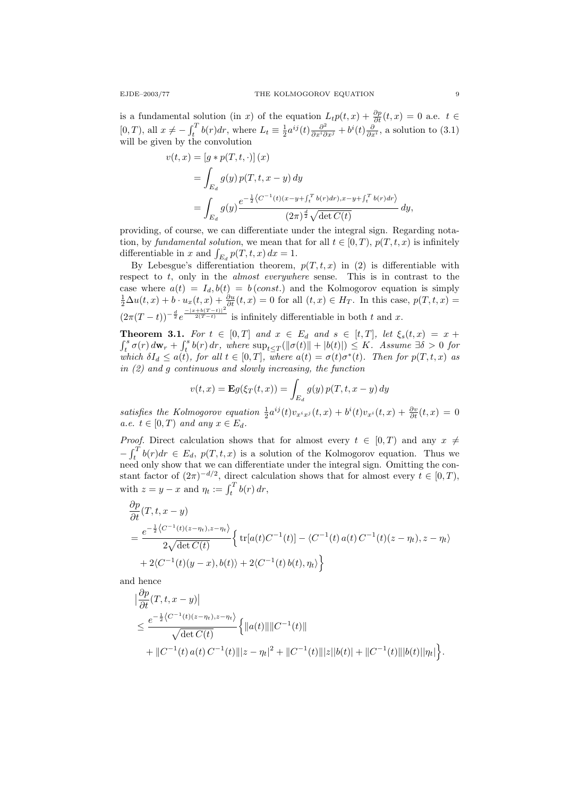is a fundamental solution (in x) of the equation  $L_t p(t,x) + \frac{\partial p}{\partial t}(t,x) = 0$  a.e.  $t \in$ [0,*T*), all  $x \neq -\int_t^T b(r) dr$ , where  $L_t \equiv \frac{1}{2} a^{ij}(t) \frac{\partial^2}{\partial x^i \partial x^j} + b^i(t) \frac{\partial}{\partial x^i}$ , a solution to (3.1) will be given by the convolution

$$
v(t,x) = [g * p(T, t, \cdot)] (x)
$$
  
=  $\int_{E_d} g(y) p(T, t, x - y) dy$   
=  $\int_{E_d} g(y) \frac{e^{-\frac{1}{2} \langle C^{-1}(t)(x - y + \int_t^T b(r) dr), x - y + \int_t^T b(r) dr \rangle}}{(2\pi)^{\frac{d}{2}} \sqrt{\det C(t)}} dy,$ 

providing, of course, we can differentiate under the integral sign. Regarding notation, by fundamental solution, we mean that for all  $t \in [0, T)$ ,  $p(T, t, x)$  is infinitely differentiable in x and  $\int_{E_d} p(T, t, x) dx = 1$ .

By Lebesgue's differentiation theorem,  $p(T, t, x)$  in (2) is differentiable with respect to  $t$ , only in the *almost everywhere* sense. This is in contrast to the case where  $a(t) = I_d, b(t) = b (const.)$  and the Kolmogorov equation is simply  $\frac{1}{2}\Delta u(t,x) + b \cdot u_x(t,x) + \frac{\partial u}{\partial t}(t,x) = 0$  for all  $(t,x) \in H_T$ . In this case,  $p(T,t,x) =$  $(2\pi(T-t))^{-\frac{d}{2}}e^{\frac{-|x+b(T-t)|^2}{2(T-t)}}$  is infinitely differentiable in both t and x.

**Theorem 3.1.** For  $t \in [0,T]$  and  $x \in E_d$  and  $s \in [t,T]$ , let  $\xi_s(t,x) = x +$  $\int_t^s \sigma(r) d\mathbf{w}_r + \int_t^s b(r) dr$ , where  $\sup_{t \leq T} (\|\sigma(t)\| + |b(t)|) \leq K$ . Assume  $\exists \delta > 0$  for which  $\delta I_d \leq a(t)$ , for all  $t \in [0,T]$ , where  $a(t) = \sigma(t)\sigma^*(t)$ . Then for  $p(T,t,x)$  as in (2) and g continuous and slowly increasing, the function

$$
v(t,x) = \mathbf{E}g(\xi_T(t,x)) = \int_{E_d} g(y) p(T,t,x-y) dy
$$

satisfies the Kolmogorov equation  $\frac{1}{2}a^{ij}(t)v_{x^ix^j}(t,x) + b^i(t)v_{x^i}(t,x) + \frac{\partial v}{\partial t}(t,x) = 0$ a.e.  $t \in [0, T)$  and any  $x \in E_d$ .

*Proof.* Direct calculation shows that for almost every  $t \in [0, T)$  and any  $x \neq$  $-\int_t^T b(r) dr \in E_d$ ,  $p(T, t, x)$  is a solution of the Kolmogorov equation. Thus we need only show that we can differentiate under the integral sign. Omitting the constant factor of  $(2\pi)^{-d/2}$ , direct calculation shows that for almost every  $t \in [0, T)$ , with  $z = y - x$  and  $\eta_t := \int_t^T b(r) dr$ ,

$$
\frac{\partial p}{\partial t}(T, t, x - y)
$$
\n
$$
= \frac{e^{-\frac{1}{2}\langle C^{-1}(t)(z - \eta_t), z - \eta_t \rangle}}{2\sqrt{\det C(t)}} \left\{ \operatorname{tr}[a(t)C^{-1}(t)] - \langle C^{-1}(t) a(t) C^{-1}(t)(z - \eta_t), z - \eta_t \rangle \right.
$$
\n
$$
+ 2\langle C^{-1}(t)(y - x), b(t) \rangle + 2\langle C^{-1}(t) b(t), \eta_t \rangle \right\}
$$

and hence

$$
\begin{split} &|\frac{\partial p}{\partial t}(T,t,x-y)| \\ &\leq \frac{e^{-\frac{1}{2}\left\langle C^{-1}(t)(z-\eta_t),z-\eta_t\right\rangle}}{\sqrt{\det C(t)}} \Big\{ \|a(t)\| \|C^{-1}(t)\| \\ &+ \|C^{-1}(t)\,a(t)\,C^{-1}(t)\| |z-\eta_t|^2 + \|C^{-1}(t)\| |z||b(t)| + \|C^{-1}(t)\| |b(t)| |\eta_t|\Big\}. \end{split}
$$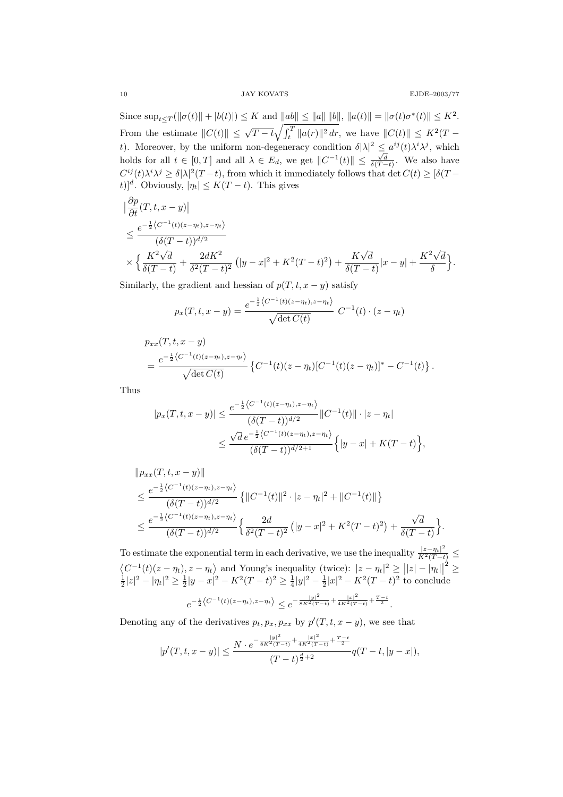Since  $\sup_{t \leq T} (\|\sigma(t)\| + |b(t)|) \leq K$  and  $\|ab\| \leq \|a\| \|b\|$ ,  $\|a(t)\| = \|\sigma(t)\sigma^*(t)\| \leq K^2$ . From the estimate  $||C(t)|| \leq \sqrt{T-t} \sqrt{\int_t^T ||a(r)||^2 dr}$ , we have  $||C(t)|| \leq K^2(T-t)$ t). Moreover, by the uniform non-degeneracy condition  $\delta |\lambda|^2 \leq a^{ij}(t) \lambda^i \lambda^j$ , which holds for all  $t \in [0, T]$  and all  $\lambda \in E_d$ , we get  $||C^{-1}(t)|| \leq \frac{\sqrt{d}}{\delta(T-t)}$ . We also have  $C^{ij}(t)\lambda^i\lambda^j \geq \delta |\lambda|^2(T-t)$ , from which it immediately follows that  $\det C(t) \geq [\delta(T-t)]$ t)]<sup>d</sup>. Obviously,  $|\eta_t| \le K(T-t)$ . This gives

$$
\begin{split} &|\frac{\partial p}{\partial t}(T, t, x - y)| \\ &\leq \frac{e^{-\frac{1}{2}\langle C^{-1}(t)(z - \eta_t), z - \eta_t\rangle}}{(\delta(T - t))^{d/2}} \\ &\times \Big\{\frac{K^2\sqrt{d}}{\delta(T - t)} + \frac{2dK^2}{\delta^2(T - t)^2} \left(|y - x|^2 + K^2(T - t)^2\right) + \frac{K\sqrt{d}}{\delta(T - t)}|x - y| + \frac{K^2\sqrt{d}}{\delta}\Big\}. \end{split}
$$

Similarly, the gradient and hessian of  $p(T, t, x - y)$  satisfy

$$
p_x(T, t, x - y) = \frac{e^{-\frac{1}{2}\langle C^{-1}(t)(z - \eta_t), z - \eta_t \rangle}}{\sqrt{\det C(t)}} C^{-1}(t) \cdot (z - \eta_t)
$$

$$
p_{xx}(T, t, x - y)
$$
  
= 
$$
\frac{e^{-\frac{1}{2}\langle C^{-1}(t)(z-\eta_t), z-\eta_t\rangle}}{\sqrt{\det C(t)}} \left\{ C^{-1}(t)(z-\eta_t)[C^{-1}(t)(z-\eta_t)]^* - C^{-1}(t) \right\}.
$$

Thus

$$
|p_x(T, t, x - y)| \le \frac{e^{-\frac{1}{2}\langle C^{-1}(t)(z - \eta_t), z - \eta_t \rangle}}{(\delta(T - t))^{d/2}} \|C^{-1}(t)\| \cdot |z - \eta_t|
$$
  

$$
\le \frac{\sqrt{d} e^{-\frac{1}{2}\langle C^{-1}(t)(z - \eta_t), z - \eta_t \rangle}}{(\delta(T - t))^{d/2 + 1}} \Big\{ |y - x| + K(T - t) \Big\},
$$

$$
\|p_{xx}(T, t, x - y)\|
$$
  
\n
$$
\leq \frac{e^{-\frac{1}{2}\langle C^{-1}(t)(z - \eta_t), z - \eta_t\rangle}}{(\delta(T - t))^{d/2}} \{ \|C^{-1}(t)\|^2 \cdot |z - \eta_t|^2 + \|C^{-1}(t)\| \}
$$
  
\n
$$
\leq \frac{e^{-\frac{1}{2}\langle C^{-1}(t)(z - \eta_t), z - \eta_t\rangle}}{(\delta(T - t))^{d/2}} \{ \frac{2d}{\delta^2(T - t)^2} (|y - x|^2 + K^2(T - t)^2) + \frac{\sqrt{d}}{\delta(T - t)} \}.
$$

To estimate the exponential term in each derivative, we use the inequality  $\frac{|z-\eta_t|^2}{K^2(T-t)} \le$  $\left\langle C^{-1}(t)(z-\eta_t), z-\eta_t \right\rangle$  and Young's inequality (twice):  $|z-\eta_t|^2 \geq ||z|-|\eta_t||$  $^2$   $\geq$  $\frac{1}{2}|z|^2 - |\eta_t|^2 \ge \frac{1}{2}|y - x|^2 - K^2(T - t)^2 \ge \frac{1}{4}|y|^2 - \frac{1}{2}|x|^2 - K^2(T - t)^2$  to conclude  $e^{-\frac{1}{2}\left\langle C^{-1}(t)(z-\eta_t),z-\eta_t\right\rangle} \leq e^{-\frac{|y|^2}{8K^2(T-t)}+\frac{|x|^2}{4K^2(T-t)}+\frac{T-t}{2}}.$ 

Denoting any of the derivatives  $p_t, p_x, p_{xx}$  by  $p'(T, t, x - y)$ , we see that

$$
|p'(T,t,x-y)| \le \frac{N \cdot e^{-\frac{|y|^2}{8K^2(T-t)} + \frac{|x|^2}{4K^2(T-t)} + \frac{T-t}{2}}}{(T-t)^{\frac{d}{2}+2}} q(T-t, |y-x|),
$$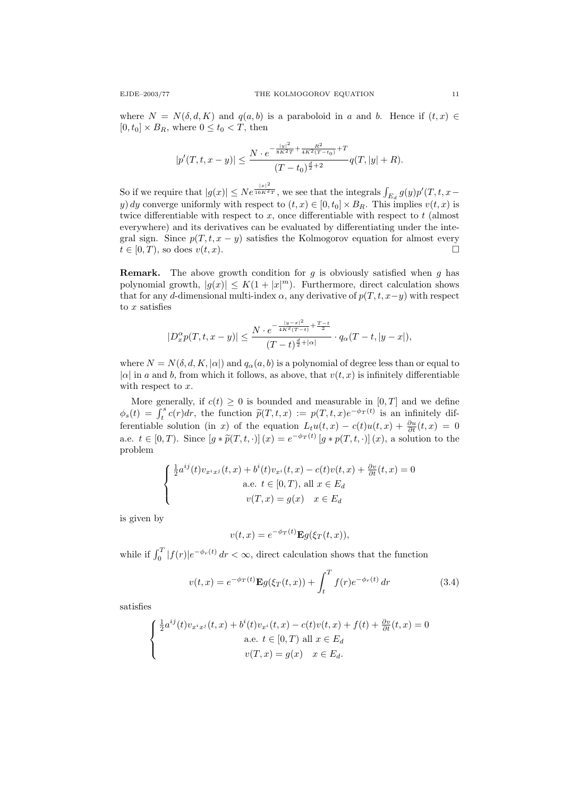where  $N = N(\delta, d, K)$  and  $q(a, b)$  is a paraboloid in a and b. Hence if  $(t, x) \in$  $[0, t_0] \times B_R$ , where  $0 \le t_0 < T$ , then

$$
|p'(T, t, x - y)| \le \frac{N \cdot e^{-\frac{|y|^2}{8K^2T} + \frac{R^2}{4K^2(T - t_0)} + T}}{(T - t_0)^{\frac{d}{2} + 2}} q(T, |y| + R).
$$

So if we require that  $|g(x)| \leq Ne^{\frac{|x|^2}{16K^2T}}$ , we see that the integrals  $\int_{E_d} g(y)p'(T,t,x-\tau)$ y) dy converge uniformly with respect to  $(t, x) \in [0, t_0] \times B_R$ . This implies  $v(t, x)$  is twice differentiable with respect to  $x$ , once differentiable with respect to  $t$  (almost everywhere) and its derivatives can be evaluated by differentiating under the integral sign. Since  $p(T, t, x - y)$  satisfies the Kolmogorov equation for almost every  $t \in [0, T)$ , so does  $v(t, x)$ .

**Remark.** The above growth condition for g is obviously satisfied when g has polynomial growth,  $|g(x)| \leq K(1+|x|^m)$ . Furthermore, direct calculation shows that for any d-dimensional multi-index  $\alpha$ , any derivative of  $p(T, t, x-y)$  with respect to  $x$  satisfies

$$
|D_x^{\alpha} p(T,t,x-y)| \leq \frac{N \cdot e^{-\frac{|y-x|^2}{4K^2(T-t)} + \frac{T-t}{2}}}{(T-t)^{\frac{d}{2}+|\alpha|}} \cdot q_{\alpha}(T-t, |y-x|),
$$

where  $N = N(\delta, d, K, |\alpha|)$  and  $q_{\alpha}(a, b)$  is a polynomial of degree less than or equal to | $\alpha$ | in a and b, from which it follows, as above, that  $v(t, x)$  is infinitely differentiable with respect to  $x$ .

More generally, if  $c(t) \geq 0$  is bounded and measurable in  $[0, T]$  and we define  $\phi_s(t) = \int_t^s c(r) dr$ , the function  $\tilde{p}(T, t, x) := p(T, t, x)e^{-\phi_T(t)}$  is an infinitely dif-<br>function leads the continuous function  $f_{\text{tot}}(t, x) = \frac{\partial u(t, x)}{\partial t}$ ferentiable solution (in x) of the equation  $L_t u(t,x) - c(t)u(t,x) + \frac{\partial u}{\partial t}(t,x) = 0$ a.e.  $t \in [0, T)$ . Since  $[g * \widetilde{p}(T, t, \cdot)](x) = e^{-\phi_T(t)} [g * p(T, t, \cdot)](x)$ , a solution to the problem

$$
\begin{cases} \frac{1}{2}a^{ij}(t)v_{x^ix^j}(t,x) + b^i(t)v_{x^i}(t,x) - c(t)v(t,x) + \frac{\partial v}{\partial t}(t,x) = 0\\ \text{a.e. } t \in [0,T), \text{ all } x \in E_d\\ v(T,x) = g(x) \quad x \in E_d \end{cases}
$$

is given by

$$
v(t,x) = e^{-\phi_T(t)} \mathbf{E} g(\xi_T(t,x)),
$$

while if  $\int_0^T |f(r)|e^{-\phi_r(t)} dr < \infty$ , direct calculation shows that the function

$$
v(t,x) = e^{-\phi_T(t)} \mathbf{E}g(\xi_T(t,x)) + \int_t^T f(r)e^{-\phi_T(t)} dr \tag{3.4}
$$

satisfies

$$
\begin{cases} \frac{1}{2}a^{ij}(t)v_{x^ix^j}(t,x) + b^i(t)v_{x^i}(t,x) - c(t)v(t,x) + f(t) + \frac{\partial v}{\partial t}(t,x) = 0\\ \text{a.e. } t \in [0,T) \text{ all } x \in E_d\\ v(T,x) = g(x) \quad x \in E_d. \end{cases}
$$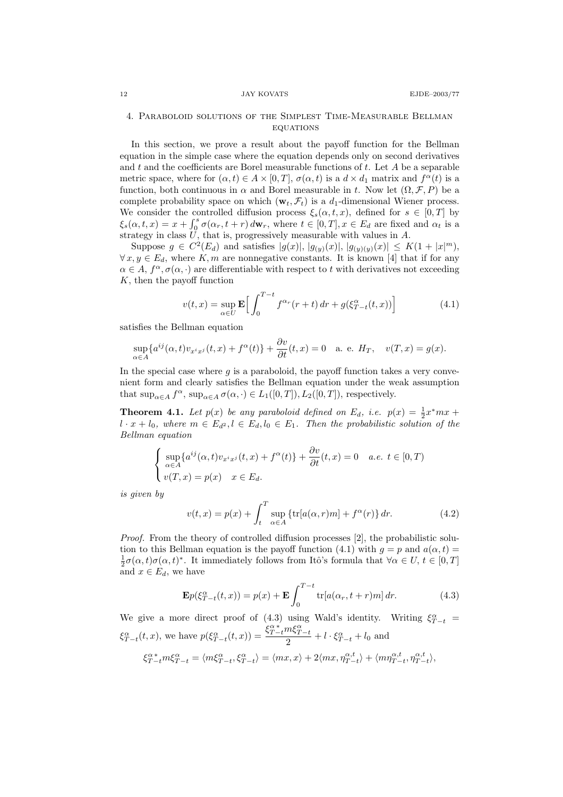## 4. Paraboloid solutions of the Simplest Time-Measurable Bellman **EQUATIONS**

In this section, we prove a result about the payoff function for the Bellman equation in the simple case where the equation depends only on second derivatives and  $t$  and the coefficients are Borel measurable functions of  $t$ . Let  $A$  be a separable metric space, where for  $(\alpha, t) \in A \times [0, T]$ ,  $\sigma(\alpha, t)$  is a  $d \times d_1$  matrix and  $f^{\alpha}(t)$  is a function, both continuous in  $\alpha$  and Borel measurable in t. Now let  $(\Omega, \mathcal{F}, P)$  be a complete probability space on which  $(\mathbf{w}_t, \mathcal{F}_t)$  is a  $d_1$ -dimensional Wiener process. We consider the controlled diffusion process  $\xi_s(\alpha, t, x)$ , defined for  $s \in [0, T]$  by  $\xi_s(\alpha, t, x) = x + \int_0^s \sigma(\alpha_r, t + r) d\mathbf{w}_r$ , where  $t \in [0, T], x \in E_d$  are fixed and  $\alpha_t$  is a strategy in class  $\tilde{U}$ , that is, progressively measurable with values in A.

Suppose  $g \in C^2(E_d)$  and satisfies  $|g(x)|, |g_{(y)}(x)|, |g_{(y)(y)}(x)| \leq K(1+|x|^m)$ ,  $\forall x, y \in E_d$ , where K, m are nonnegative constants. It is known [4] that if for any  $\alpha \in A$ ,  $f^{\alpha}, \sigma(\alpha, \cdot)$  are differentiable with respect to t with derivatives not exceeding K, then the payoff function

$$
v(t,x) = \sup_{\alpha \in U} \mathbf{E} \left[ \int_0^{T-t} f^{\alpha_r}(r+t) dr + g(\xi_{T-t}^{\alpha}(t,x)) \right]
$$
(4.1)

satisfies the Bellman equation

$$
\sup_{\alpha \in A} \{a^{ij}(\alpha, t)v_{x^ix^j}(t, x) + f^{\alpha}(t)\} + \frac{\partial v}{\partial t}(t, x) = 0 \quad \text{a. e. } H_T, \quad v(T, x) = g(x).
$$

In the special case where  $g$  is a paraboloid, the payoff function takes a very convenient form and clearly satisfies the Bellman equation under the weak assumption that  $\sup_{\alpha \in A} f^{\alpha}$ ,  $\sup_{\alpha \in A} \sigma(\alpha, \cdot) \in L_1([0, T]), L_2([0, T]),$  respectively.

**Theorem 4.1.** Let  $p(x)$  be any paraboloid defined on  $E_d$ , i.e.  $p(x) = \frac{1}{2}x^*mx +$  $l \cdot x + l_0$ , where  $m \in E_{d^2}$ ,  $l \in E_d$ ,  $l_0 \in E_1$ . Then the probabilistic solution of the Bellman equation

$$
\begin{cases} \sup_{\alpha \in A} \{a^{ij}(\alpha, t)v_{x^ix^j}(t, x) + f^{\alpha}(t)\} + \frac{\partial v}{\partial t}(t, x) = 0 & a.e. \ t \in [0, T) \\ v(T, x) = p(x) & x \in E_d. \end{cases}
$$

is given by

$$
v(t,x) = p(x) + \int_t^T \sup_{\alpha \in A} \left\{ \text{tr}[a(\alpha, r)m] + f^{\alpha}(r) \right\} dr.
$$
 (4.2)

Proof. From the theory of controlled diffusion processes [2], the probabilistic solution to this Bellman equation is the payoff function (4.1) with  $g = p$  and  $a(\alpha, t) =$  $\frac{1}{2}\sigma(\alpha, t)\sigma(\alpha, t)^*$ . It immediately follows from Itô's formula that  $\forall \alpha \in U, t \in [0, T]$ and  $x \in E_d$ , we have

$$
\mathbf{E}p(\xi_{T-t}^{\alpha}(t,x)) = p(x) + \mathbf{E} \int_0^{T-t} \text{tr}[a(\alpha_r, t+r)m] dr.
$$
 (4.3)

We give a more direct proof of (4.3) using Wald's identity. Writing  $\xi_{T-t}^{\alpha}$  =  $\xi_{T-t}^{\alpha}(t,x)$ , we have  $p(\xi_{T-t}^{\alpha}(t,x)) = \frac{\xi_{T-t}^{\alpha*}m\xi_{T-t}^{\alpha}}{2}$  $\frac{nS_{T-t}}{2} + l \cdot \xi_{T-t}^{\alpha} + l_0$  and

$$
\xi^{\alpha}_{T-t}m\xi^{\alpha}_{T-t}=\langle m\xi^{\alpha}_{T-t},\xi^{\alpha}_{T-t}\rangle=\langle mx,x\rangle+2\langle mx,\eta^{\alpha,t}_{T-t}\rangle+\langle m\eta^{\alpha,t}_{T-t},\eta^{\alpha,t}_{T-t}\rangle,
$$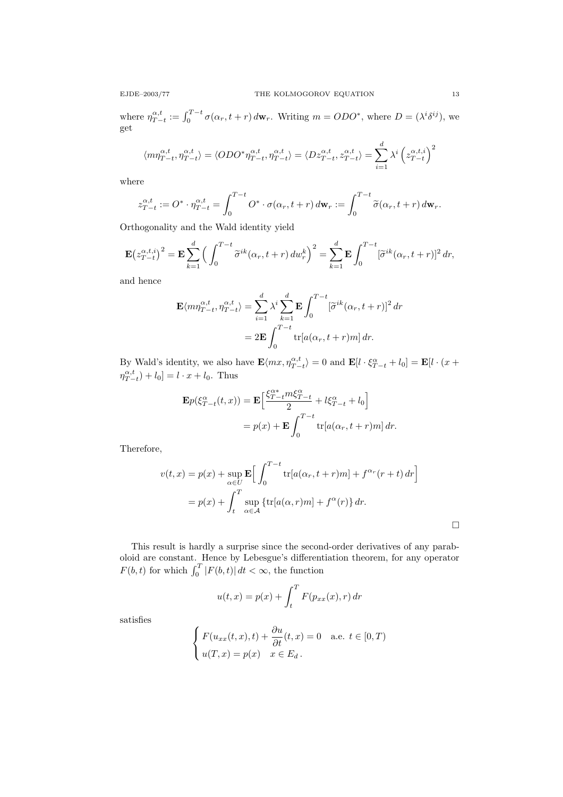where  $\eta_{T-t}^{\alpha,t} := \int_0^{T-t} \sigma(\alpha_r, t+r) d\mathbf{w}_r$ . Writing  $m = ODO^*$ , where  $D = (\lambda^i \delta^{ij})$ , we get

$$
\langle m\eta_{T-t}^{\alpha,t}, \eta_{T-t}^{\alpha,t} \rangle = \langle ODO^* \eta_{T-t}^{\alpha,t}, \eta_{T-t}^{\alpha,t} \rangle = \langle Dz_{T-t}^{\alpha,t}, z_{T-t}^{\alpha,t} \rangle = \sum_{i=1}^d \lambda^i \left( z_{T-t}^{\alpha,t,i} \right)^2
$$

where

$$
z_{T-t}^{\alpha,t} := O^* \cdot \eta_{T-t}^{\alpha,t} = \int_0^{T-t} O^* \cdot \sigma(\alpha_r, t+r) d\mathbf{w}_r := \int_0^{T-t} \widetilde{\sigma}(\alpha_r, t+r) d\mathbf{w}_r.
$$

Orthogonality and the Wald identity yield

$$
\mathbf{E}\left(z_{T-t}^{\alpha,t,i}\right)^2 = \mathbf{E}\sum_{k=1}^d \left(\int_0^{T-t} \widetilde{\sigma}^{ik}(\alpha_r, t+r) \, dw_r^k\right)^2 = \sum_{k=1}^d \mathbf{E}\int_0^{T-t} [\widetilde{\sigma}^{ik}(\alpha_r, t+r)]^2 \, dr,
$$

and hence

$$
\mathbf{E}\langle m\eta_{T-t}^{\alpha,t},\eta_{T-t}^{\alpha,t}\rangle = \sum_{i=1}^d \lambda^i \sum_{k=1}^d \mathbf{E} \int_0^{T-t} [\tilde{\sigma}^{ik}(\alpha_r,t+r)]^2 dr
$$

$$
= 2\mathbf{E} \int_0^{T-t} \text{tr}[a(\alpha_r,t+r)m] dr.
$$

By Wald's identity, we also have  $\mathbf{E}\langle mx, \eta_{T-t}^{\alpha,t}\rangle = 0$  and  $\mathbf{E}[l \cdot \xi_{T-t}^{\alpha} + l_0] = \mathbf{E}[l \cdot (x +$  $\eta_{T-t}^{\alpha,t}$  +  $l_0$ ] =  $l \cdot x + l_0$ . Thus

$$
\mathbf{E}p(\xi_{T-t}^{\alpha}(t,x)) = \mathbf{E}\left[\frac{\xi_{T-t}^{\alpha*}m\xi_{T-t}^{\alpha}}{2} + l\xi_{T-t}^{\alpha} + l_0\right]
$$

$$
= p(x) + \mathbf{E}\int_0^{T-t} \text{tr}[a(\alpha_r, t+r)m] dr.
$$

Therefore,

$$
v(t,x) = p(x) + \sup_{\alpha \in U} \mathbf{E} \Big[ \int_0^{T-t} \text{tr}[a(\alpha_r, t+r)m] + f^{\alpha_r}(r+t) dr \Big]
$$
  
=  $p(x) + \int_t^T \sup_{\alpha \in \mathcal{A}} \{\text{tr}[a(\alpha_r, r)m] + f^{\alpha}(r)\} dr.$ 

This result is hardly a surprise since the second-order derivatives of any paraboloid are constant. Hence by Lebesgue's differentiation theorem, for any operator  $F(b, t)$  for which  $\int_0^T |F(b, t)| dt < \infty$ , the function

$$
u(t,x) = p(x) + \int_t^T F(p_{xx}(x), r) dr
$$

satisfies

$$
\begin{cases}\nF(u_{xx}(t,x),t) + \frac{\partial u}{\partial t}(t,x) = 0 & \text{a.e. } t \in [0,T) \\
u(T,x) = p(x) & x \in E_d.\n\end{cases}
$$